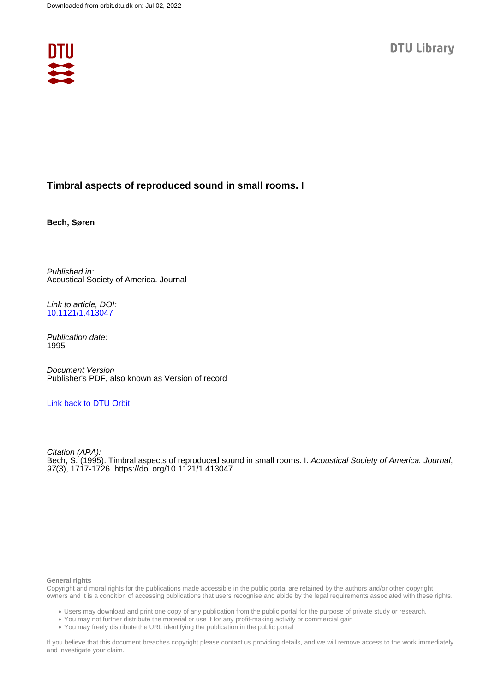

# **Timbral aspects of reproduced sound in small rooms. I**

**Bech, Søren**

Published in: Acoustical Society of America. Journal

Link to article, DOI: [10.1121/1.413047](https://doi.org/10.1121/1.413047)

Publication date: 1995

Document Version Publisher's PDF, also known as Version of record

# [Link back to DTU Orbit](https://orbit.dtu.dk/en/publications/459fbbac-a10c-48aa-9cb2-fa16e3e54f3d)

Citation (APA): Bech, S. (1995). Timbral aspects of reproduced sound in small rooms. I. Acoustical Society of America. Journal, 97(3), 1717-1726.<https://doi.org/10.1121/1.413047>

#### **General rights**

Copyright and moral rights for the publications made accessible in the public portal are retained by the authors and/or other copyright owners and it is a condition of accessing publications that users recognise and abide by the legal requirements associated with these rights.

Users may download and print one copy of any publication from the public portal for the purpose of private study or research.

- You may not further distribute the material or use it for any profit-making activity or commercial gain
- You may freely distribute the URL identifying the publication in the public portal

If you believe that this document breaches copyright please contact us providing details, and we will remove access to the work immediately and investigate your claim.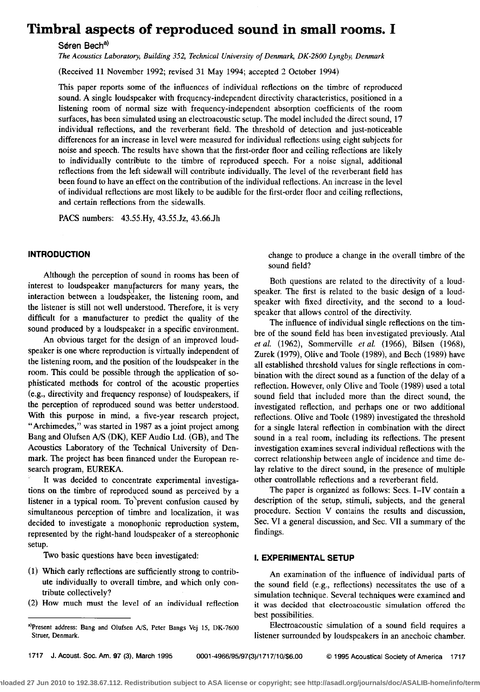# **Timbrai aspects of reproduced sound in small rooms. I**

#### Søren Bech<sup>a)</sup>

The Acoustics Laboratory, Building 352, Technical University of Denmark, DK-2800 Lyngby, Denmark

**(Received 11 November 1992; revised 31 May 1994; accepted 2October 1994)** 

**This paper reports some of the influences of individual reflections on the timbre of reproduced sound. A single loudspeaker with frequency-independent directivity characteristics, positioned in a listening room of normal size with frequency-independent absorption coefficients of the room surfaces, has been simulated using an electroacoustic setup. The model included the direct sound, 17 individual reflections, and the reverberant field. The threshold of detection and just-noticeable differences for an increase in level were measured for individual reflections using eight subjects for noise and speech. The results have shown that the first-order floor and ceiling reflections are likely to individually contribute to the timbre of' reproduced speech. For a noise signal, additional**  reflections from the left sidewall will contribute individually. The level of the reverberant field has **been found to have an effect on the contribution of the individual reflections. An increase in the level of individual reflections are most likely to be audible for the first-order floor and ceiling reflections, and certain reflections from the sidewalls.** 

**PACS numbers: 43.55.Hy, 43.55.Jz, 43.66.Jh** 

# **INTRODUCTION**

**Although the perception of sound in rooms has been of**  interest to loudspeaker manufacturers for many years, the interaction between a loudspeaker, the listening room, and **the listener is still not well understood. Therefore, it is very difficult for a manufacturer to predict the quality of the**  sound produced by a loudspeaker in a specific environment.

**An obvious target for the design of an improved loud**speaker is one where reproduction is virtually independent of **the listening room, and the position of the loudspeaker inthe room. This could be possible through the application of sophisticated methods for control of the acoustic properties**  (e.g., directivity and frequency response) of loudspeakers, if **the perception of reproduced sound was better understood. With this purpose in mind, a five-year research project, "Archimedes," was started in 1987 as a joint project among Bang and Olufsen A/S (DK), KEF Audio Ltd. (GB), and The Acoustics Laboratory of the Technical University of Denmark. The project has been financed under the European research program, EUREKA.** 

It was decided to concentrate experimental investiga**tions on the timbre of reproduced sound as perceived by a**  listener in a typical room. To prevent confusion caused by **simultaneous perception of timbre and localization, it was decided to investigate amonophonic reproduction system, represented by the right-hand loudspeaker of a stereophonic setup.** 

**Two basic questions have been investigated:** 

- **(1) Which early reflections are sufficiently strong to contribute individually to overall timbre, and which only contribute collectively?**
- **(2) How much must the level of an individual reflection**

**change to produce a change in the overall timbre of the sound field?** 

**Both questions are related to the directivity of a loudspeaker. The first is related to the basic design of a loud**speaker with fixed directivity, and the second to a loud**speaker that allows control of the directivity.** 

**The influence of individual single reflections on the timbre of the sound field has been investigated previously. Atal etal. (1962), Sommerville etal. (1966), Bilsen (1968), Zurek (1979), Olive and Toole (1989), and Bech (1989) have all established threshold values for single reflections in combination with the direct sound as a function of the delay of a reflection. However, only Olive and Toole (1989) used a total sound field that included more than the direct sound, the investigated reflection, and perhaps one or two additional**  reflections. Olive and Toole (1989) investigated the threshold **for a single lateral reflection in combination with the direct sound in a real room, including its reflections. The present investigation examines sew:ral individual reflections with the correct relationship between angle of incidence and time delay relative to the direct sound, in the presence of multiple other controllable reflections and a reverberant field.** 

The paper is organized as follows: Secs. I-IV contain a **description of the setup, stimuli, subjects, and the general procedure. Sectiou V contains the results and discussion, Sec. VIa general discussion, and Sec. VII a summary of the findings.** 

## **I. EXPERIMENTAL SETUP**

**An examination of the influence of individual parts of the sound field (e.g., reflections) necessitates the use of a simulation technique. Several techniques were examined and it was decided that electroacoustic simulation offered the best possibilities.** 

**Electroacoustic simulation of a sound field requires a**  listener surrounded by loudspeakers in an anechoic chamber.

**1717 J. Acoust. Soc. Am. 97 (3), March 1995 0001-4966/95/97(3)/1717/10/\$6.00 ¸ 1995 Acoustical Society of America 1717** 

**a)Present address: Bang and Olufsen A/S, Peter Bangs Vej 15, DK-7600 Struer, Denmark.**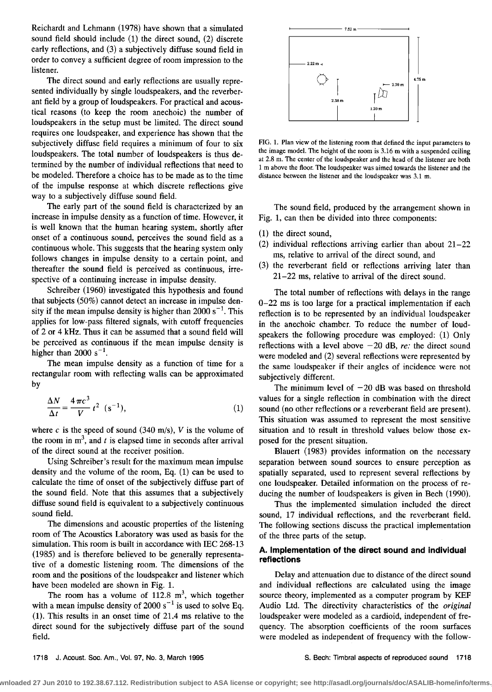**Reichardt and Lehmann (1978) have shown that a simulated sound field should include (1) the direct sound, (2) discrete early reflections, and (3) a subjectively diffuse sound field in order to convey a sufficient degree of room impression to the listener.** 

**The direct sound and early reflections are usually represented individually by single loudspeakers, and the feverherant field by a group of loudspeakers. For practical and acoustical reasons (to keep the room anechoic) the number of loudspeakers in the setup must be limited. The direct sound requires one loudspeaker, and experience has shown that the subjectively diffuse field requires a minimum of four to six**  loudspeakers. The total number of loudspeakers is thus de**termined by the number of individual reflections that need to be modeled. Therefore a choice has to be made as to the time of the impulse response at which discrete reflections give way to a subjectively diffuse sound field.** 

**The early part of the sound field is characterized by an increase in impulse density as a function of time. However, it is well known that the human hearing system, shortly after**  onset of a continuous sound, perceives the sound field as a **continuous whole. This suggests that the hearing system only follows changes in impulse density to a certain point, and thereafter the sound field is perceived as continuous, irrespective of a continuing increase in impulse density.** 

**Schreiber (1960) investigated this hypothesis and found that subjects (50%) cannot detect an increase in impulse den**sity if the mean impulse density is higher than  $2000 \, \text{s}^{-1}$ . This **applies for low-pass filtered signals, with cutoff frequencies of 2 or 4 kHz. Thus it can be assumed that a sound field will**  be perceived as continuous if the mean impulse density is higher than 2000  $s^{-1}$ .

**The mean impulse density as a function of time for a rectangular room with reflecting walls can be approximated by** 

$$
\frac{\Delta N}{\Delta t} = \frac{4\,\pi c^3}{V} \, t^2 \, (s^{-1}),\tag{1}
$$

where  $c$  is the speed of sound (340 m/s),  $V$  is the volume of the room in  $m<sup>3</sup>$ , and t is elapsed time in seconds after arrival **of the direct sound at the receiver position.** 

**Using Schreiber's result for the maximum mean impulse density and the volume of the room, Eq. (1) can be used to calculate the time of onset of the subjectively diffuse part of the sound field. Note that this assumes that a subjectively diffuse sound field is equivalent to a subjectively continuous sound field.** 

**The dimensions and acoustic properties of the listening room of The Acoustics Laboratory was used as basis for the simulation. This room is built in accordance with IEC 268-13 (1985) and is therefore believed to be generally representative of a domestic listening room. The dimensions of the room and the positions of the loudspeaker and listener which have been modeled are shown in Fig. 1.** 

The room has a volume of  $112.8 \text{ m}^3$ , which together with a mean impulse density of  $2000 \text{ s}^{-1}$  is used to solve Eq. **(1). This results in an onset time of 21.4 ms relative to the direct sound for the subjectively diffuse part of the sound field.** 



**FIG. 1. Plan view of the listening room that defined the input parameters to the image model. The height of the room is 3.16 m with a suspended ceiling at 2.8 m. The center of the loudspeaker and the head of the listener are both 1 m above the floor. The loudspeaker was aimed towards the listener and the distance between the listener and the loudspeaker was 3.1 m.** 

**The sound field, produced by the arrangement shown in Fig. 1, can then be divided into three components:** 

- **(1) the direct sound,**
- **(2) individual reflections arriving earlier than about 21-22 ms, relative to arrival of the direct sound, and**
- **(3) the reverberant field or reflections arriving later than 21-22 ms, relative to arrival of the direct sound.**

**The total number of reflections with delays in the range 0-22 ms is too large for a practical implementation if each**  reflection is to be represented by an individual loudspeaker **in the anechoic chamber. To reduce the number of loudspeakers the following procedure was employed: (1) Only**  reflections with a level above  $-20$  dB, re: the direct sound **were modeled and (2) several reflections were represented by the same loudspeaker if their angles of incidence were not subjectively different.** 

The minimum level of  $-20$  dB was based on threshold **values for a single reflection in combination with the direct sound (no other reflections or a reverberant field are present). This situation was assumed to represent the most sensitive**  situation and to result in threshold values below those exposed for the present situation.

**Blauert (1983) provides information on the necessary separation between sound sources to ensure perception as spatially separated, used to represent several reflections by one loudspeaker. Detailed information on the process of re**ducing the number of loudspeakers is given in Bech (1990).

**Thus the implemented simulation included the direct sound, 17 individual reflections, and the reverberant field. The following sections discuss the practical implementation of the three parts of the setup.** 

#### **A. Implementation of the direct sound and individual reflections**

**Delay and attenuation due to distance of the direct sound and individual reflections are calculated using the image source theory, implemented as a computer program by KEF Audio Ltd. The directivity characteristics of the original loudspeaker were modeled as a cardioid, independent of frequency. The absorption coefficients of the room surfaces were modeled as independent of frequency with the follow-**

wnloaded 27 Jun 2010 to 192.38.67.112. Redistribution subject to ASA license or copyright; see http://asadl.org/journals/doc/ASALIB-home/info/terms.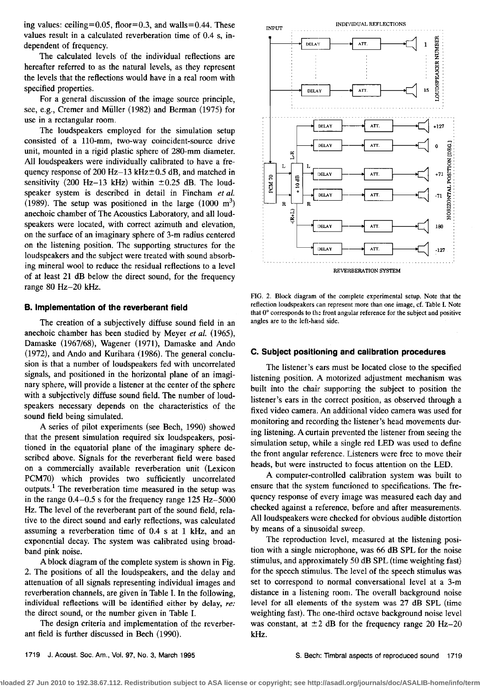**ing values: ceiling=0.05, floor=0.3, and walls=0.44. These values result in a calculated reverberation time of 0.4 s, independent of frequency.** 

**The calculated levels of the individual reflections are**  hereafter referred to as the natural levels, as they represent **the levels that the reflections would have in a real room with specified properties.** 

**For a general discussion of the image source principle, see, e.g., Cremer and Miiller (1982) and Berman (1975) for**  use in a rectangular room.

**The loudspeakers employed for the simulation setup consisted of a 110-mm, two-way coincident-source drive unit, mounted in a rigid plastic sphere of 280-mm diameter. All loudspeakers were individually calibrated to have a fre**quency response of 200 Hz-13 kHz $\pm$ 0.5 dB, and matched in sensitivity (200 Hz-13 kHz) within  $\pm 0.25$  dB. The loud**speaker system is described in detail in Fincham et al.**  (1989). The setup was positioned in the large  $(1000 \text{ m}^3)$ anechoic chamber of The Acoustics Laboratory, and all loud**speakers were located, with correct azimuth and elevation, on the surface of an imaginary sphere of 3-m radius centered on the listening position. The supporting structures for the loudspeakers and the subject were treated with sound absorbing mineral wool to reduce the residual reflections to a level of at least 21 dB below the direct sound, for the frequency range 80 Hz-20 kHz.** 

# **B. Implementation of the reverberant field**

**The creation of a subjectively diffuse sound field in an**  anechoic chamber has been studied by Meyer et al. (1965), **Damaske (1967/68), Wageher (1971), Damaske and Ando (1972), and Ando and Kurihara (1986). The general conclusion is that a number of loudspeakers fed with uncorrelated signals, and positioned in the horizontal plane of an imagi**nary sphere, will provide a listener at the center of the sphere **with a subjectively diffuse sound field. The number of loudspeakers necessary depends on the characteristics of the sound field being simulated.** 

**A series of pilot experiments (see Bech, 1990) showed that the present simulation required six loudspeakers, positioned in the equatorial plane of the imaginary sphere described above. Signals for the reverberant field were based on a commercially available reverberation unit (Lexicon PCM70) which provides two sufficiently uncorrelated outputs. • The reverberation time measured in the setup was in the range 0.4-0.5 s for the frequency range 125 Hz-5000 Hz. The level of the reverberant part of the sound field, relative to the direct sound and early reflections, was calculated assuming a reverberation time of 0.4 s at 1 kHz, and an exponential decay. The system was calibrated using broadband pink noise.** 

**A block diagram of the complete system is shown in Fig. 2. The positions of all the loudspeakers, and the delay and attenuation of all signals representing individual images and reverberation channels, are given in Table I. In the following, individual reflections will be identified either by delay, re: the direct sound, or the number given in Table I.** 

**The design criteria and implementation of the reverberant field is further discussed in Bech (1990).** 



**FIG. 2. Block diagram of the complete experimental setup. Note that the reflection loudspeakers can represent more than one image, cf. Table I. Note**  that 0° corresponds to the front angular reference for the subject and positive **angles are to the left-hand side.** 

#### **C. Subject positioning a•d calibration procedures**

**The listener's ears must be located close to the specified listening position. A motorized adjustment mechanism was built into the chair supporting the subject to position the listener's ears in the correct position, as observed through a fixed video camera. An additional video camera was used for monitoring and recording the listener's head movements during listening. A curtain prevented the listener from seeing the simulation setup, while a single red LED was used to define the front angular reference. ]Listeners were free to move their heads, but were instructed to focus attention on the LED.** 

**A computer-co.ntrolled calibration system was built to ensure that the system functioned to specifications. The frequency response of every image was measured each day and checked against a reference, before and after measurements.**  All loudspeakers were checked for obvious audible distortion **by means of a sinusoidal sweep.** 

**The reproduction level, measured at the listening position with a single microphone, was 66 dB SPL for the noise stimulus, and approximately 50 dB SPL (time weighting fast) for the speech stimulus. The level of the speech stimulus was**  set to correspond to normal conversational level at a 3-m distance in a listening room. The overall background noise **level for all elements of the system was 27 dB SPL (time weighting fast). The one-third octave background noise level**  was constant, at  $\pm 2$  dB for the frequency range 20 Hz-20 **kHz.** 

**Downloaded 27 Jun 2010 to 192.38.67.112. Redistribution subject to ASA license or copyright; see http://asadl.org/journals/doc/ASALIB-home/info/terms.jsp**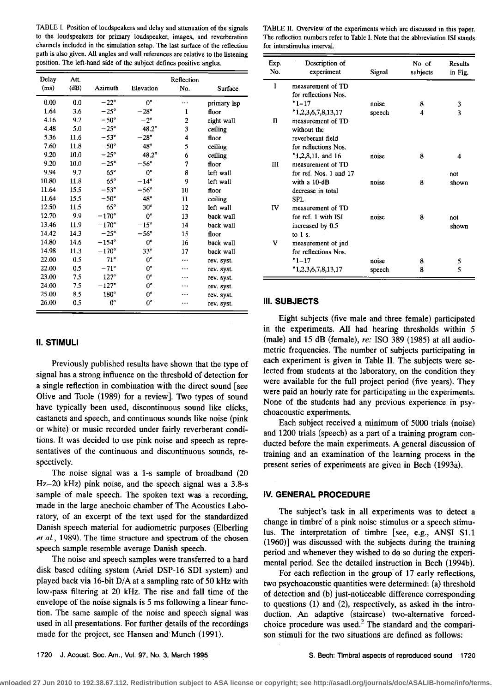TABLE I. Position of loudspeakers and delay and attenuation of the signals **to the loudspeakers for primary loudspeaker, images, and reverberation channels included in the simulation setup. The last surface of the reflection path is also given. All angles and wall references are relative to the listening position. The left-hand side of the subject defines positive angles.** 

| Delay<br>(ms) | Att.<br>(dB) | Azimuth        | Elevation     | Reflection<br>No. | Surface     |
|---------------|--------------|----------------|---------------|-------------------|-------------|
| 0.00          | 0.0          | $-22^\circ$    | $0^{\circ}$   |                   | primary lsp |
| 1.64          | 3.6          | $-25^\circ$    | $-28^\circ$   | 1                 | floor       |
| 4.16          | 9.2          | $-50^\circ$    | $-2^{\circ}$  | 2                 | right wall  |
| 4.48          | 5.0          | $-25^\circ$    | $48.2^\circ$  | 3                 | ceiling     |
| 5.36          | 11.6         | $-53^\circ$    | $-28°$        | 4                 | floor       |
| 7.60          | 11.8         | $-50^\circ$    | $48^\circ$    | 5                 | ceiling     |
| 9.20          | 10.0         | $-25^\circ$    | $48.2^\circ$  | 6                 | ceiling     |
| 9.20          | 10.0         | $-25^{\circ}$  | $-56^\circ$   | 7                 | floor       |
| 9.94          | 9.7          | $65^\circ$     | $0^{\circ}$   | 8                 | left wall   |
| 10.80         | 11.8         | $65^\circ$     | $-14^{\circ}$ | 9                 | left wall   |
| 11.64         | 15.5         | $-53^\circ$    | $-56^\circ$   | 10                | floor       |
| 11.64         | 15.5         | $-50^\circ$    | $48^\circ$    | 11                | ceiling     |
| 12.50         | 11.5         | $65^\circ$     | $30^\circ$    | 12                | left wall   |
| 12.70         | 9.9          | $-170^{\circ}$ | $0^{\circ}$   | 13                | back wall   |
| 13.46         | 11.9         | $-170^\circ$   | $-15^{\circ}$ | 14                | back wall   |
| 14.42         | 14.3         | $-25^\circ$    | $-56^\circ$   | 15                | floor       |
| 14.80         | 14.6         | $-154^\circ$   | $0^{\circ}$   | 16                | back wall   |
| 14.98         | 11.3         | $-170^{\circ}$ | $33^\circ$    | 17                | back wall   |
| 22.00         | 0.5          | $71^\circ$     | $0^{\circ}$   |                   | rev. syst.  |
| 22.00         | 0.5          | $-71$ °        | $0^{\circ}$   |                   | rev. syst.  |
| 23.00         | 7.5          | $127^\circ$    | $0^{\circ}$   |                   | rev. syst.  |
| 24.00         | 7.5          | $-127^\circ$   | $0^{\circ}$   |                   | rev. syst.  |
| 25.00         | 8.5          | $180^\circ$    | $0^{\circ}$   |                   | rev. syst.  |
| 26.00         | 0.5          | $0^{\circ}$    | $0^{\circ}$   |                   | rev. syst.  |

# **II. STIMULI**

**Previously published results have shown that the type of signal has a strong influence on the threshold of detection for a single reflection in combination with the direct sound [see Olive and Toole (1989) for a review]. Two types of sound have typically been used, discontinuous sound like clicks, castanets and speech, and continuous sounds like noise (pink or white) or music recorded under fairly reverberant conditions. It was decided to use pink noise and speech as repre**sentatives of the continuous and discontinuous sounds, re**spectively.** 

**The noise signal was a 1-s sample of broadband (20 Hz-20 kHz) pink noise, and the speech signal was a 3.8-s sample of male speech. The spoken text was a recording, made in the large anechoic chamber of The Acoustics Laboratory, of an excerpt of the text used for the standardized Danish speech material for audiometric purposes (Elberling et al., 1989). The time structure and spectrum of the chosen speech sample resemble average Danish speech.** 

**The noise and speech samples were transferred to a hard disk based editing system (Ariel DSP-16 SDI system) and played back via 16-bit D/A at a sampling rate of 50 kHz with low-pass filtering at 20 kHz. The rise and fall time of the envelope of the noise signals is 5 ms following a linear function. The same sample of the noise and speech signal was**  used in all presentations. For further details of the recordings made for the project, see Hansen and Munch (1991).

**TABLE II. Overview of the experiments which are discussed in this paper. The reflection numbers refer to Table I. Note that the abbreviation ISI stands for interstimulus interval.** 

| Exp.<br>No. | Description of<br>experiment | Signal | No. of<br>subjects | <b>Results</b><br>in Fig. |
|-------------|------------------------------|--------|--------------------|---------------------------|
| I           | measurement of TD            |        |                    |                           |
|             | for reflections Nos.         |        |                    |                           |
|             | $*1 - 17$                    | noise  | 8                  | 3                         |
|             | $*1,2,3,6,7,8,13,17$         | speech | 4                  | 3                         |
| П           | measurement of TD            |        |                    |                           |
|             | without the                  |        |                    |                           |
|             | reverberant field            |        |                    |                           |
|             | for reflections Nos.         |        |                    |                           |
|             | $*1,2,8,11$ , and 16         | noise  | 8                  | 4                         |
| Ш           | measurement of TD            |        |                    |                           |
|             | for ref. Nos. 1 and 17       |        |                    | not                       |
|             | with a $10-dB$               | noise  | R                  | shown                     |
|             | decrease in total            |        |                    |                           |
|             | SPL.                         |        |                    |                           |
| IV          | measurement of TD            |        |                    |                           |
|             | for ref. 1 with ISI          | noise  | 8                  | not                       |
|             | increased by 0.5             |        |                    | shown                     |
|             | to $1$ s.                    |        |                    |                           |
| v           | measurement of jnd           |        |                    |                           |
|             | for reflections Nos.         |        |                    |                           |
|             | $*_{1-17}$                   | noise  | 8                  | 5                         |
|             | $*1,2,3,6,7,8,13,17$         | speech | 8                  | 5                         |

#### **III. SUBJECTS**

**Eight subjects (five male and three female) participated in the experiments. All had hearing thresholds within 5 (male) and 15 dB (female), re: ISO 389 (1985) at all audiometric frequencies. The number of subjects participating in each experiment is given in Table II. The subjects were selected from students at the laboratory, on the condition they were available for the full project period (five years). They**  were paid an hourly rate for participating in the experiments. **None of the students had any previous experience in psychoacoustic experiments.** 

**Each subject received a minimum of 5000 trials (noise)**  and 1200 trials (speech) as a part of a training program con**ducted before the main experiments. A general discussion of** training and an examination of the learning process in the **present series of experiments are given in Bech (1993a).** 

# **IV. GENERAL PROCEDURE**

**The subject's task in all experiments was to detect a change in timbre' of a pink noise stimulus or a speech stimulus. The interpretation of timbre [see, e.g., ANSI SI.1 (1960)] was discussed with the subjects during the training**  period and whenever they wished to do so during the experi**mental period. See the detailed instruction in Bech (1994b).** 

For each reflection in the group of 17 early reflections, **two psychoacoustic quantities were determined: (a) threshold of detection and (b) just-noticeable difference corresponding to questions (1) and (2), respectively, as asked in the introduction. An adaptive (staircase) two-alternative forcedchoice procedure was used? The standard and the comparison stimuli for the two situations are defined as follows:**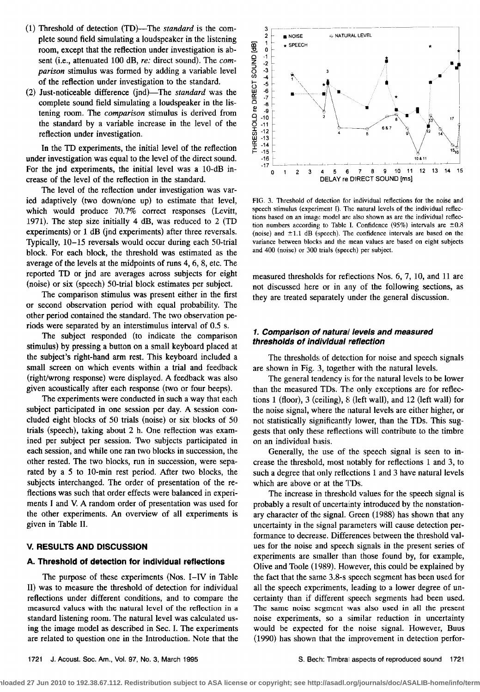- **(1) Threshold of detection (TD)•The standard is the complete sound field simulating aloudspeaker in the listening room, except that the reflection under investigation is absent (i.e., attenuated 100 dB, re: direct sound). The comparison stimulus was formed by adding a variable level of the reflection under investigation to the standard.**
- (2) Just-noticeable difference (jnd)—The *standard* was the **complete sound field simulating a loudspeaker in the listening room. The comparison stimulus is derived from the standard by a variable increase in the level of the reflection under investigation.**

**In the TD experiments, the initial level of the reflection under investigation was equal to the level of the direct sound.**  For the jnd experiments, the initial level was a 10-dB in**crease of the level of the reflection in the standard.** 

**The level of the reflection under investigation was varied adaptively (two down/one up) to estimate that level, which would produce 70.7% correct responses (Levitt,**  1971). The step size initially 4 dB, was reduced to 2 (TD **experiments) or 1 dB (jnd experiments) after three reversals. Typically, 10-15 reversals would occur during each 50-trial block. For each block, the threshold was estimated as the average of the levels at the midpoints of runs 4, 6, 8, etc. The reported TD or jnd are averages across subjects for eight (noise) or six (speech) 50-trial block estimates per subject.** 

**The comparison stimulus was present either in the first or second observation period with equal probability. The other period contained the standard. The two observation periods were separated by an interstimulus interval of 0.5 s.** 

**The subject responded (to indicate the comparison stimulus) by pressing a button on a small keyboard placed at the subject's right-hand arm rest. This keyboard included a small screen on which events within a trial and feedback (right/wrong response) were displayed. Afeedback was also given acoustically after each response (two or four beeps).** 

**The experiments were conducted in such a way that each subject participated in one session per day. A session concluded eight blocks of 50 trials (noise) or six blocks of 50 trials (speech), taking about 2 h. One reflection was examined per subject per session. Two subjects participated in each session, and while one ran two blocks in succession, the other rested. The two blocks, run in succession, were separated by a 5 to 10-min rest period. After two blocks, the subjects interchanged. The order of presentation of the reflections was such that order effects were balanced in experiments I and V. A random order of presentation was used for the other experiments. An overview of all experiments is given in Table II.** 

# **V. RESULTS AND DISCUSSION**

# **A. Threshold of detection for individual reflections**

**The purpose of these experiments (Nos. I-IV in Table II) was to measure the threshold of detection for individual reflections under different conditions, and to compare the measured values with the natural level of the reflection in a standard listening room. The natural level was calculated using the image model as described in Sec. I. The experiments are related to question one in the Introduction. Note that the** 



**FIG. 3. Threshold of detection for individual reflections for the noise and**  speech stimulus (experiment I). The natural levels of the individual reflec**tions based on an image model are also shown as are the individual reflec**tion numbers according to Table I. Confidence  $(95\%)$  intervals are  $\pm 0.8$ (noise) and  $\pm 1.1$  dB (speech). The confidence intervals are based on the **variance between blocks and the mean values are based on eight subjects**  and 400 (noise) or 300 trials (speech) per subject.

**measured thresholds for reflections Nos. 6, 7, 10, and 11 are not discussed here or in any of the following sections, as**  they are treated separately under the general discussion.

# 1. Comparison of natural levels and measured thresholds of individual reflection

The thresholds of detection for noise and speech signals are shown in Fig. 3, together with the natural levels.

The general tendency is for the natural levels to be lower **than the measured TDs. The only exceptions are for reflections 1 (floor), 3 (ceiling), 8 (left wall), and 12 (left wall) for**  the noise signal, where the natural levels are either higher, or **not statistically significantly lower, than the TDs. This suggests that only these reflections will contribute to the timbre on an individual basis.** 

**Generally, the use of the speech signal is seen to increase the threshold, most uotably for reflections 1 and 3, to**  such a degree that only reflections 1 and 3 have natural levels which are above or at the TDs.

**The increase in threshold values for the speech signal is**  probably a result of uncertainty introduced by the nonstation**ary character of the signal. Green (1988) has shown that any uncertainty in the signal parameters will cause detection performance to decrease. Differences between the threshold val**ues for the noise and speech signals in the present series of **experiments are smaller than those found by, for example, Olive and Toole (1989). However, this could be explained by**  the fact that the same 3.8-s speech segment has been used for **all the speech experiments, leading to a lower degree of uncertainty than if different speech segments had been used. The same noise segment was also used in all the present noise experiments, so a similar reduction in uncertainty**  would be expected for the noise signal. However, Buus **(1990) has shown that the improvement in detection perfro'-** 

**Downloaded 27 Jun 2010 to 192.38.67.112. Redistribution subject to ASA license or copyright; see http://asadl.org/journals/doc/ASALIB-home/info/terms.jsp**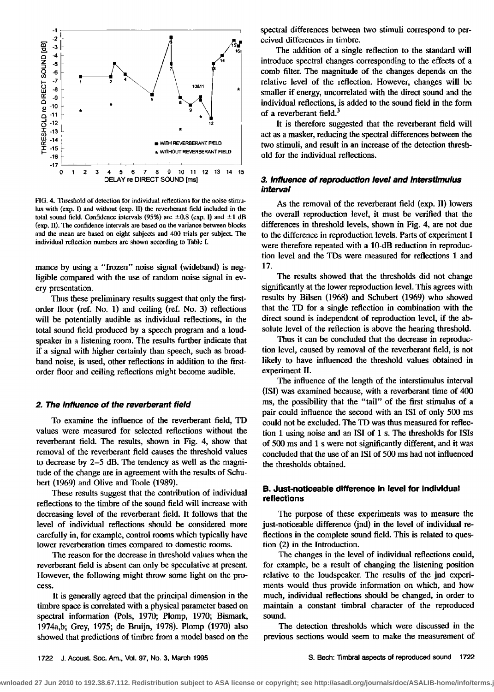

**FIG. 4. Threshold of detection for individual reflections for the noise stimulus with (exp. I) and without (cxp. II) the reverberant field included in the**  total sound field. Confidence intervals  $(95\%)$  are  $\pm 0.8$  (exp. I) and  $\pm 1$  dB **(exp. II). The confidence intervals are based on the variance between blocks and the mean are based on eight subjects and 400 trials per subject. The individual reflection numbers are shown according to Table I.** 

**mance by using a "frozen" noise signal (wideband) is negligible compared with the use of random noise signal in every presentation.** 

**Thus these preliminary results suggest that only the first**order floor (ref. No. 1) and ceiling (ref. No. 3) reflections **will be potentially audible as individual reflections, in the total sound field produced by a speech program and a loudspeaker in a listening room. The results further indicate that if a signal with higher certainly than speech, such as broadband noise, is used, other reflections in addition to the firstorder floor and ceiling reflections might become audible.** 

#### **2. The influence of the reverberant field**

**To examine the influence of the reverberant field, TD values were measured for selected reflections without the reverberant field. The results, shown in Fig. 4, show that removal of the reverberant field causes the threshold values to decrease by 2-5 dB. The tendency as well as the magnitude of the change are in agreement with the results of Schubert (1969) and Olive and Toole (1989).** 

**These results suggest that the contribution of individual reflections to the timbre of the sound field will increase with decreasing level of the reverberant field. It follows that the level of individual reflections should be considered more carefully in, for example, control rooms which typically have lower reverberation times compared to domestic rooms.** 

**The reason for the decrease in threshold values when the reverberant field is absent can only be speculative at present. However, the following might throw some light on the proceSS.** 

**It is generally agreed that the principal dimension in the timbre space is correlated with a physical parameter based on spectral information (Pols, 1970; Plomp, 1970; Bismark, 1974a,b; Grey, 1975; de Bruijn, 1978). Plomp (1970) also showed that predictions of timbre from a model based on the**  **spectral differences between two stimuli correspond to perceived differences in timbre.** 

**The addition of a single reflection to the standard will introduce spectral changes corresponding to the effects of a comb filter. The magnitude of the changes depends on the**  relative level of the reflection. However, changes will be **smaller if energy, uncorrelated with the direct sound and the individual reflections, is added to the sound field in the form of a reverberant field. 3** 

**It is therefore suggested that the reverbemnt field will act as a musket, reducing the spectral differences between the two stimuli, and result in an increase of the detection threshold for the individual reflections.** 

# **& Influence of reproduction level and Interstimulus interval**

**As the removal of the rcverberant field (exp. II) lowers the overall reproduction level, it must be verified that the differences in threshold levels, shown in Fig. 4, are not due to the difference in reproduction levels. Parts of experiment I were therefore repeated with a 10-dB reduction in reproduction level and the TDs were measured for reflections 1 and 17.** 

**The results showed that the thresholds did not change significantly at the lower reproduction level. This agrees with results by Bilsen (1968) and Schubert (1969) who showed that the TD for a single reflection in combination with the direct sound is independent of reproduction level, if the absolute level of the reflection is above the hearing threshold.** 

Thus it can be concluded that the decrease in reproduc**tion level, caused by removal of the reverberant field, is not likely to have influenced the threshold values obtained in experiment IL** 

**The influence of the length of the interstimulus interval (ISI) was examined because, with a reverberant time of 400 ms, the possibility that the "tail" of the first stimulus of a pair could influence the second with an ISI of only 500 ms could not be excluded. The TD was thus measured for reflection 1 using noise and an ISI of 1 s. The thresholds for ISis of 500 ms and 1 s were not significantly different, and it was concluded that the use of an ISI of 500 ms had not influenced the thresholds obtained.** 

# **B. Just-noticeable difference in level for Individual reflections**

**The purpose of these experiments was to measure the just-noticeable difference (jnd) in the level of individual reflections in the complete sound field. This is related to question (2} in the Introduction.** 

**The changes in the level of individual reflections could, for example, be a result of changing the listening position relative to the loudspeaker. The results of the jnd experiments would thus provide information on which, and how much, individual reflections should be changed, in order to maintain a constant timbrai character of the reproduced sound.** 

**The detection thresholds which were discussed in the previous sections would seem to make the measurement of**

wnloaded 27 Jun 2010 to 192.38.67.112. Redistribution subject to ASA license or copyright; see http://asadl.org/journals/doc/ASALIB-home/info/terms.j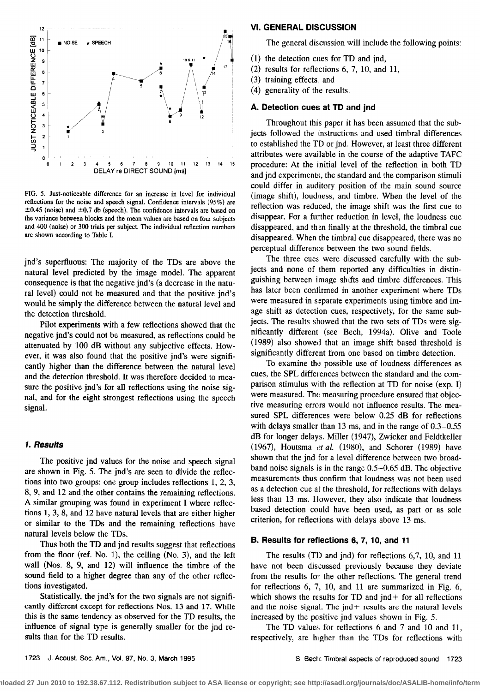

**FIG. 5. Just-noticeable difference for an increase in level for individual reflections for the noise and speech signal. Confidence intervals (95%) are**   $\pm 0.45$  (noise) and  $\pm 0.7$  db (speech). The confidence intervals are based on **the variance between blocks and the mean values are based on four subjects**  and 400 (noise) or 300 trials per subject. The individual reflection numbers **are shown according to Table I.** 

**jnd's superfluous: The majority of the TDs are above the natural level predicted by the image model. The apparent consequence is that the negative jnd's (a decrease in the natural level) could not be measured and that the positive jnd's would be simply the difference between the natural level and the detection threshold.** 

Pilot experiments with a few reflections showed that the **negative jnd's could not be measured, as reflections could be**  attenuated by 100 dB without any subjective effects. How**ever, it was also found that the positive jnd's were significantly higher than the difference between the natural level and the detection threshold. It was therefore decided to measure the positive jnd's for all reflections using the noise signal, and for the eight strongest reflections using the speech signal.** 

# **1. Results**

**The positive jnd values for the noise and speech signal are shown in Fig. 5. The jnd's are seen to divide the reflections into two groups: one group includes reflections 1, 2, 3, 8, 9, and 12 and the other contains the remaining reflections. A similar grouping was found in experiment I where reflections 1, 3, 8, and 12 have natural levels that are either higher or similar to the TDs and the remaining reflections have natural levels below the TDs.** 

**Thus both the TD and jnd results suggest that reflections**  from the floor (ref. No. 1), the ceiling (No. 3), and the left **wall (Nos. 8, 9, and 12) will influence the timbre of the sound field to a higher degree than any of the other reflections investigated.** 

**Statistically, the jnd's for the two signals are not significantly different except for reflections Nos. 13 and 17. While this is the same tendency as observed for the TD results, the influence of signal type is generally smaller for the jnd results than for the TD results.** 

#### **Vl. GENERAL DISCUSSION**

**The general discussion will include the following points:** 

- **(1) the detection cues for TD and jnd,**
- **(2) results for reflections 6, 7, 10, and 11,**
- **(3) training effects:. and**
- **(4) generality of the results.**

# **A. Detection cues at TD and jnd**

Throughout this paper it has been assumed that the sub**jects followed the instructions and used timbral differences to established the TD or jnd. However, at least three different**  attributes were available in the course of the adaptive TAFC **procedure: At the initial level of the reflection in both TD and jnd experiments, the standard and the comparison stimuli could differ in auditory position of the main sound source, (image shift), loudness, and timbre. When the level of the: reflection was reduced, the image shift was the first cue to**  disappear. For a further reduction in level, the loudness cue **disappeared, and then finally at the threshold, the timbrai cue: disappeared. When the timbral cue disappeared, there was no perceptual difference between the two sound fields.** 

The three cues were discussed carefully with the sub**jects and none of them reported any difficulties in distin-.**  guishing between image shifts and timbre differences. This **has later been confirmed in another experiment where TDs**  were measured in separate experiments using timbre and im**age shift as detection cues, respectively, for the same sub-.**  jects. The results showed that the two sets of TDs were sig**nificantly different (see Bech, 1994a). Olive and Toole (1989) also showed that an. image shift based threshold is significantly different from one based on timbre detection.** 

**To examine the possible use of loudness differences as cues, the SPL differences between the standard and the com**parison stimulus with the reflection at TD for noise (exp. I) were measured. The measuring procedure ensured that objec**tive measuring errors would[ not influence results. The mea-. sured SPL differences were below 0.25 dB for reflections with delays smaller than 13 ms, and in the range of 0.3-0.55 dB for longer delays. Miller (1947), Zwicker and Feldtkeller (1967), Houtsma et al. (1980), and Schorer (1989) have**  shown that the jnd for a level difference between two broad**band noise signals is in the range 0.5-0.65 dB. The objective measurements thus confirm that loudness was not been used as a detection cue at the threshold, for reflections with delays less than 13 ms. However, they also indicate that loudness based detection could have: been used, as part or as sole**  criterion, for reflections with delays above 13 ms.

#### **B. Results for reflections 6, 7, 10, and 11**

**The results (TD and jnd) for reflections 6,7, 10, and 11 have not been discussed previously because they deviate from the results for the other reflections. The general trend for reflections 6, 7, 10, and 11 are summarized in Fig. 6•. which shows the results for TD and jnd+ for all reflections**  and the noise signal. The jnd+ results are the natural levels **increased by the positive jnd values shown in Fig. 5.** 

**The TD values for reflections 6 and 7 and 10 and 11..**  respectively, are higher than the TDs for reflections with

**<sup>1723</sup> d. Acoust. Soc. Am., Vol. 97, No. 3, March 1995 S. Bech: Timbrai aspects of reproduced sound 1723** 

**Downloaded 27 Jun 2010 to 192.38.67.112. Redistribution subject to ASA license or copyright; see http://asadl.org/journals/doc/ASALIB-home/info/terms.jsp**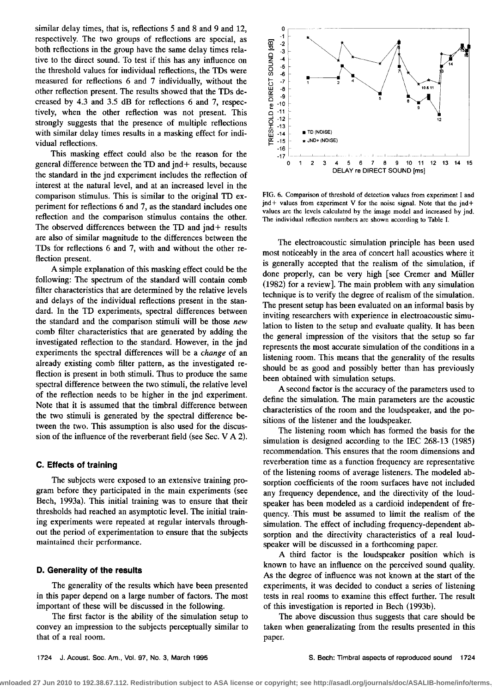**similar delay times, that is, reflections 5and 8 and 9 and 12, respectively. The two groups of reflections are special, as both reflections in the group have the same delay times relative to the direct sound. To test if this has any influence on the threshold values for individual reflections, the TDs were measured for reflections 6 and 7 individually, without the other reflection present. The results showed that the TDs decreased by 4.3 and 3.5 dB for reflections 6and 7, respectively, when the other reflection was not present. This strongly suggests that the presence of multiple reflections with similar delay times results in a masking effect for individual reflections.** 

**This masking effect could also be the reason for the general difference between the TD and jnd+ results, because the standard in the jnd experiment includes the reflection of interest at the natural level, and at an increased level in the comparison stimulus. This is similar to the original TD experiment for reflections 6 and 7, as the standard includes one reflection and the comparison stimulus contains the other. The observed differences between the TD and jnd+ results are also of similar magnitude to the differences between the TDs for reflections 6 and 7, with and without the other reflection present.** 

**A simple explanation of this masking effect could be the following: The spectrum of the standard will contain comb filter characteristics that are determined by the relative levels and delays of the individual reflections present in the standard. In the TD experiments, spectral differences between the standard and the comparison stimuli will be those new comb filter characteristics that are generated by adding the investigated reflection to the standard. However, in the jnd experiments the spectral differences will be a change of an already existing comb filter pattern, as the investigated reflection is present in both stimuli. Thus to produce the same spectral difference between the two stimuli, the relative level of the reflection needs to be higher in the jnd experiment. Note that it is assumed that the timbral difference between the two stimuli is generated by the spectral difference between the two. This assumption is also used for the discussion of the influence of the reverberant field (see Sec. V A 2).** 

# **C. Effects of training**

**The subjects were exposed to an extensive training program before they participated in the main experiments (see Bech, 1993a). This initial training was to ensure that their thresholds had reached an asymptotic level. The initial training experiments were repeated at regular intervals throughout the period of experimentation to ensure that the subjects maintained their performance.** 

#### **D. Generality of the results**

**The generality of the results which have been presented in this paper depend on a large number of factors. The most important of these will be discussed in the following.** 

**The first factor is the ability of the simulation setup to convey an impression to the subjects perceptually similar to that of a real room.** 



**FIG. 6. Comparison of threshold of detection values from experiment I and**  jnd+ values from experiment V for the noise signal. Note that the jnd+ **values are the levels calculated by the image model and increased by ind. The individual reflection numbers are shown according to Table I.** 

**The electroacoustic simulation principle has been used most noticeably in the area of concert hall acoustics where it is generally accepted that the realism of the simulation, if done properly, can be very high [see Cremer and Milllet (1982) for a review]. The main problem with any simulation technique is to verify the degree of realism of the simulation. The present setup has been evaluated on an informal basis by inviting researchers with experience in electroacoustic simulation to listen to the setup and evaluate quality. It has been the general impression of the visitors that the setup so far represents the most accurate simulation of the conditions in a listening room. This means that the generality of the results should be as good and possibly better than has previously been obtained with simulation setups.** 

**A second factor is the accuracy of the parameters used to define the simulation. The main parameters are the acoustic**  characteristics of the room and the loudspeaker, and the po**sitions of the listener and the loudspeaker.** 

**The listening room which has formed the basis for the simulation is designed according to the IEC 268-13 (1985) recommendation. This ensures that the room dimensions and reverberation time as a function frequency are representative of the listening rooms of average listeners. The modeled absorption coefficients of the room surfaces have not included any frequency dependence, and the directivity of the loudspeaker has been modeled as a cardioid independent of frequency..This must be assumed to limit the realism of the simulation. The effect of including frequency-dependent absorption and the directivity characteristics of a real loudspeaker will be discussed in a forthcoming paper.** 

**A third factor is the loudspeaker position which is known to have an influence on the perceived sound quality. As the degree of influence was not known at the start of the experiments, itwas decided to conduct a series of listening tests in real rooms to examine this effect further. The result**  of this investigation is reported in Bech (1993b).

**The above discussion thus suggests that care should be taken when generalizating from the results presented in this paper.** 

wnloaded 27 Jun 2010 to 192.38.67.112. Redistribution subject to ASA license or copyright; see http://asadl.org/journals/doc/ASALIB-home/info/terms.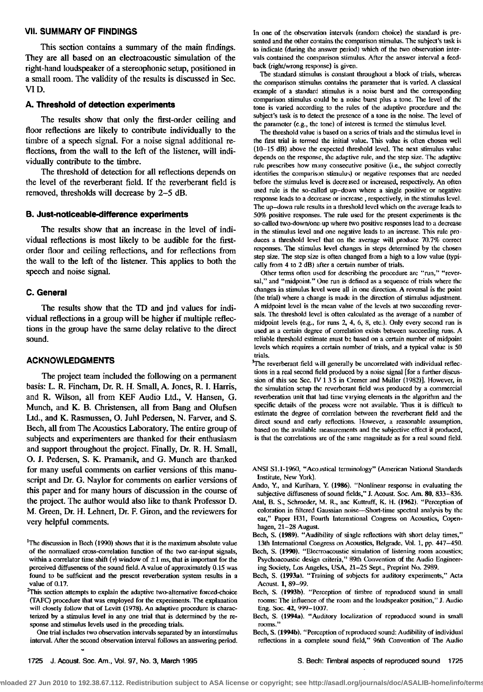# **VII. SUMMARY OF FINDINGS**

**This section contains a summary of the main findings. They are all based on an electroacoustic simulation of the right-hand loudspeaker of a stereophonic setup, positioned in a small room. The validity of the results is discussed in Sec. VID.** 

## **A. Threshold of detection experiments**

**The results show that only the first-order ceiling and floor reflections are likely to contribute individually to the timbre of a speech signal. For a noise signal additional reflections, from the wall to the left of the listener, will individually contribute to the timbre.** 

**The threshold of detection for all reflections depends on the level of the reverberant field. If the reverberant field is removed, thresholds will decrease by 2-5 dB.** 

#### **B. Just-noticeable-difference experiments**

**The results show that an increase in the level of individual reflections is most likely to be audible for the firstorder floor and ceiling reflections, and for reflections from the wall to the left of the listener. This applies to both the speech and noise signal.** 

#### **C. General**

**The results show that the TD and jnd values for indi**vidual reflections in a group will be higher if multiple reflec**tions in the group have the same delay relative to the direct sound.** 

#### **ACKNOWLEDGMENTS**

**The project team included the following on a permanent basis: L. R. Fincham, Dr. R. H. Small, A. Jones, R. I. Harris, and R. Wilson, all from KEF Audio Ltd., V. Hansen, G. Munch, and K. B. Christensen, all from Bang and Olufsen Ltd., and K. Rasmussen, O. Juhl Pedersen, N. Farvet, and S. Bech, all from The Acoustics Laboratory. The entire group of subjects and experimenters are thanked for their enthusiasm and support throughout the project. Finally, Dr. R. H. Small, O. L Pedersen, S. K. Pramanik, and G. Munch are thanked for many useful comments on earlier versions of this manuscript and Dr. G. Naylor for comments on earlier versions of this paper and for many hours of discussion in the course of the project. The author would also like to thank Professor D. M. Green, Dr. H. Lehnert, Dr. F. Giron, and the reviewers for very helpful comments.** 

<sup>1</sup>The discussion in Bech (1990) shows that it is the maximum absolute value **of the normalized cross-correlation function of the two ear-input signals,**  within a correlator time shift  $(\tau)$  window of  $\pm 1$  ms, that is important for the **perceived diffuseness of the sound field. A value of approximately 0.15 was found to be sufficient and the present reverberation system results in a value of 0.17.** 

<sup>2</sup>This section attempts to explain the adaptive two-alternative forced-choice **(TAFC) procedure that was employed for the experiments. The explanation will closely follow that of Levitt (1978). An adaptive procedure is characterized by a stimulus level in any one trial that is determined by the responsc and stimulus levels used in the preceding trials.** 

**One trial includes two observation intervals separated by an interstimulus interval. After the second observation interval follows an answering period.**  In one of the observation intervals (random choice) the standard is pre**sented and the other contains the comparison slimulus. The subject's task is**  to indicate (during the answer period) which of the two observation inter**vals contained the comparison stimulus. After the answer interval a feedback (right/wrong response) is given.** 

**The standard stimulus is constant throughout ablock of trials, whereas the comparison stimulus contains the parameter that is varied. A classical**  example of a standard stimulus is a noise burst and the corresponding **comparison slimulus could be a noise burst plus a tone. The level of the tone is varied according to the rules of the adaptive procedure and the**  subject's task is to detect the presence of a tone in the noise. The level of **the parameter (e.g., the tone) of interest is termed the stimulus level.** 

The threshold value is based on a series of trials and the stimulus level in the first trial is termed the initial value. This value is often chosen well **(10-15 dB) above the expected threshold level. The next stimulus value**  depends on the response, the adactive rule, and the step size. The adaptive **rule prescribes how many consecutive positive (i.e., the subject correctly**  identifies the comparison stimulus) or negative responses that are needed **before the stimulus level is decreased or increased, respectively. An often used rule is the so-called up-down where a single positive or negative response leads to a decrease or increase, respectively, in the stimulus level. The up-down rule results in a threshold level which on the average leads to 50% positive responses. The rule used for the present experiments is the so-called two-down/one-up where two positive responses lead to a decrease in the stimulus level and one negative leads to an increase. This rule produces a threshold level that on Ihe average will produce 70.7% correct responses. The stimulus level changes in steps determined by the chosen step size. The step size is often changed from a high to a low value (typi**cally from 4 to 2 dB) after a certain number of trials.

**Other terms often used for describing the procedure are "run," "reversal," and "midpoint." One run is defined as a sequence of trials where the changes in stimulus level were all in one direction. A reversal is the point**  (the trial) where a change is made in the direction of stimulus adjustment. A midpoint level is the mean value of the levels at two succeeding rever**sals. The threshold level is often calculated as the average of a number of**  midpoint levels (e.g., for runs 2, 4, 6, 8, etc.). Only every second run is **used as a certain degree of correlation exists between succeeding runs. A**  reliable threshold estimate must be based on a certain number of midpoint **levels which requires a certain number of trials, and a typical value is 50 trials.** 

<sup>3</sup>The reverberant field will generally be uncorrelated with individual reflections in a real second field produced by a noise signal [for a further discussion of this see Sec. IV 1 3 5 in Cremer and Muller (1982)]. However, in **the simulation setup the reverbenmt field was produced by a commercial reverberation unit that had time varying elements in the algorithm and the specific details of the process were not available. Thus it is difficult to**  estimate the degree of correlation between the reverberant field and the **direct sound and early reflections. However, a reasonable assumption, based on the available measurements and the subjective effect it produced,**  is that the correlations are of the same magnitude as for a real sound field.

- ANSI S1.1-1960, "Acoustical terminology" (American National Standards **Institute, New York).**
- **Ando, Y., and Kurihara. Y. (1986). "Nonlinear response in evaluating the subjective diffuseness of sound fields," J. Acoust. Soc. Am. 80, 833-836.**
- **Atal, B. S., Schroeder, M. R., anc Kuttruff, K. H. (1962). "Perception of coloration in filtered Gaussian noise--Short-time spectral analysis by the ear," Paper H31, Fourth International Congress on Acoustics, Copenhagen, 21-28 August.**
- Bech, S. (1989). "Audibility of single reflections with short delay times," **13th International Congress on Acoustics, Belgrade, Vol. 1, pp. 447-450.**
- **Bech, S. (1990). "Eiecrroacoustic simulation of listening room acoustics; Psychoacoustic design criteria," 89th Convention of the Audio Engineering Society, Los Angeles, USA, 21-25 Sept., Preprint No. 2989.**
- **Bech, S. (1993a). "Training of snbjects for audilory experiments," Acta Acoust. l, 89-99.**
- **Bech, S. (1993b). "Perception of timbre of reproduced sound in small rooms: The influence of the room and the loudspeaker position," J. Audio Eng. \$oc. 4Z, 999-1007.**
- Bech, S. (1994a). "Auditory localization of reproduced sound in small rooms."
- **Bech, S. (1994b). "Perception of reproduced sound: Audibility of individual reflections in a complete sound field," 96th Convention of The Audio**

**S. Bech: Timbrai aspects of reproduced sound 1725**